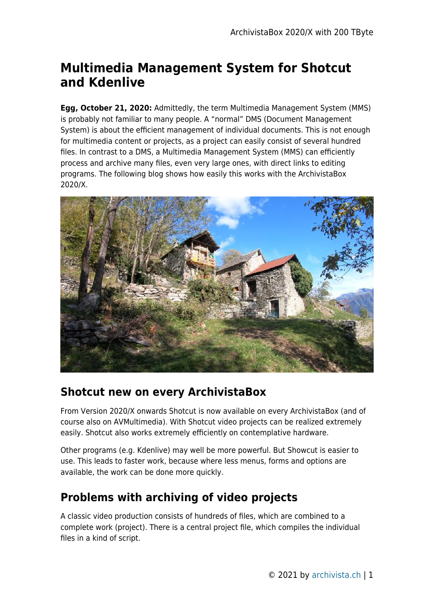## **Multimedia Management System for Shotcut and Kdenlive**

**Egg, October 21, 2020:** Admittedly, the term Multimedia Management System (MMS) is probably not familiar to many people. A "normal" DMS (Document Management System) is about the efficient management of individual documents. This is not enough for multimedia content or projects, as a project can easily consist of several hundred files. In contrast to a DMS, a Multimedia Management System (MMS) can efficiently process and archive many files, even very large ones, with direct links to editing programs. The following blog shows how easily this works with the ArchivistaBox 2020/X.



#### **Shotcut new on every ArchivistaBox**

From Version 2020/X onwards Shotcut is now available on every ArchivistaBox (and of course also on AVMultimedia). With Shotcut video projects can be realized extremely easily. Shotcut also works extremely efficiently on contemplative hardware.

Other programs (e.g. Kdenlive) may well be more powerful. But Showcut is easier to use. This leads to faster work, because where less menus, forms and options are available, the work can be done more quickly.

### **Problems with archiving of video projects**

A classic video production consists of hundreds of files, which are combined to a complete work (project). There is a central project file, which compiles the individual files in a kind of script.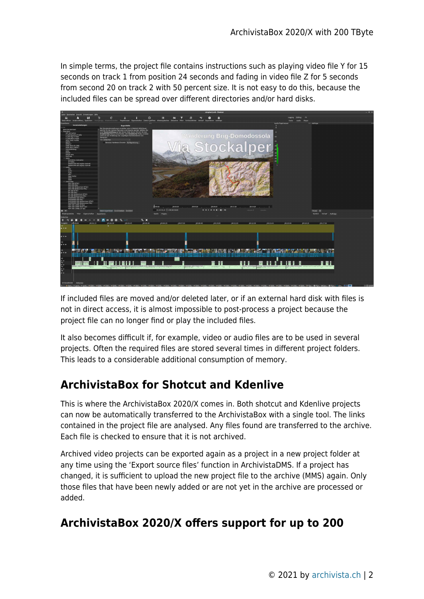In simple terms, the project file contains instructions such as playing video file Y for 15 seconds on track 1 from position 24 seconds and fading in video file Z for 5 seconds from second 20 on track 2 with 50 percent size. It is not easy to do this, because the included files can be spread over different directories and/or hard disks.



If included files are moved and/or deleted later, or if an external hard disk with files is not in direct access, it is almost impossible to post-process a project because the project file can no longer find or play the included files.

It also becomes difficult if, for example, video or audio files are to be used in several projects. Often the required files are stored several times in different project folders. This leads to a considerable additional consumption of memory.

### **ArchivistaBox for Shotcut and Kdenlive**

This is where the ArchivistaBox 2020/X comes in. Both shotcut and Kdenlive projects can now be automatically transferred to the ArchivistaBox with a single tool. The links contained in the project file are analysed. Any files found are transferred to the archive. Each file is checked to ensure that it is not archived.

Archived video projects can be exported again as a project in a new project folder at any time using the 'Export source files' function in ArchivistaDMS. If a project has changed, it is sufficient to upload the new project file to the archive (MMS) again. Only those files that have been newly added or are not yet in the archive are processed or added.

### **ArchivistaBox 2020/X offers support for up to 200**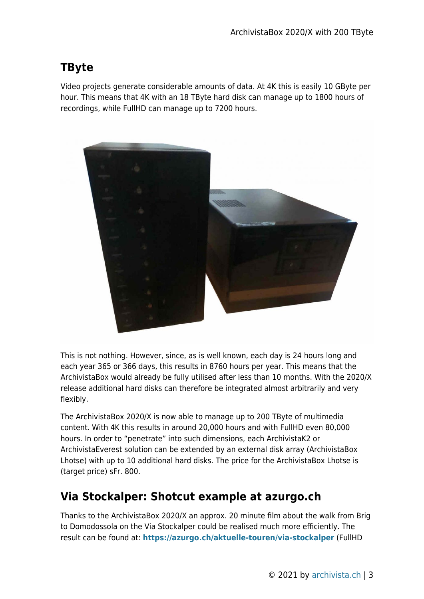# **TByte**

Video projects generate considerable amounts of data. At 4K this is easily 10 GByte per hour. This means that 4K with an 18 TByte hard disk can manage up to 1800 hours of recordings, while FullHD can manage up to 7200 hours.



This is not nothing. However, since, as is well known, each day is 24 hours long and each year 365 or 366 days, this results in 8760 hours per year. This means that the ArchivistaBox would already be fully utilised after less than 10 months. With the 2020/X release additional hard disks can therefore be integrated almost arbitrarily and very flexibly.

The ArchivistaBox 2020/X is now able to manage up to 200 TByte of multimedia content. With 4K this results in around 20,000 hours and with FullHD even 80,000 hours. In order to "penetrate" into such dimensions, each ArchivistaK2 or ArchivistaEverest solution can be extended by an external disk array (ArchivistaBox Lhotse) with up to 10 additional hard disks. The price for the ArchivistaBox Lhotse is (target price) sFr. 800.

### **Via Stockalper: Shotcut example at azurgo.ch**

Thanks to the ArchivistaBox 2020/X an approx. 20 minute film about the walk from Brig to Domodossola on the Via Stockalper could be realised much more efficiently. The result can be found at: **<https://azurgo.ch/aktuelle-touren/via-stockalper>** (FullHD